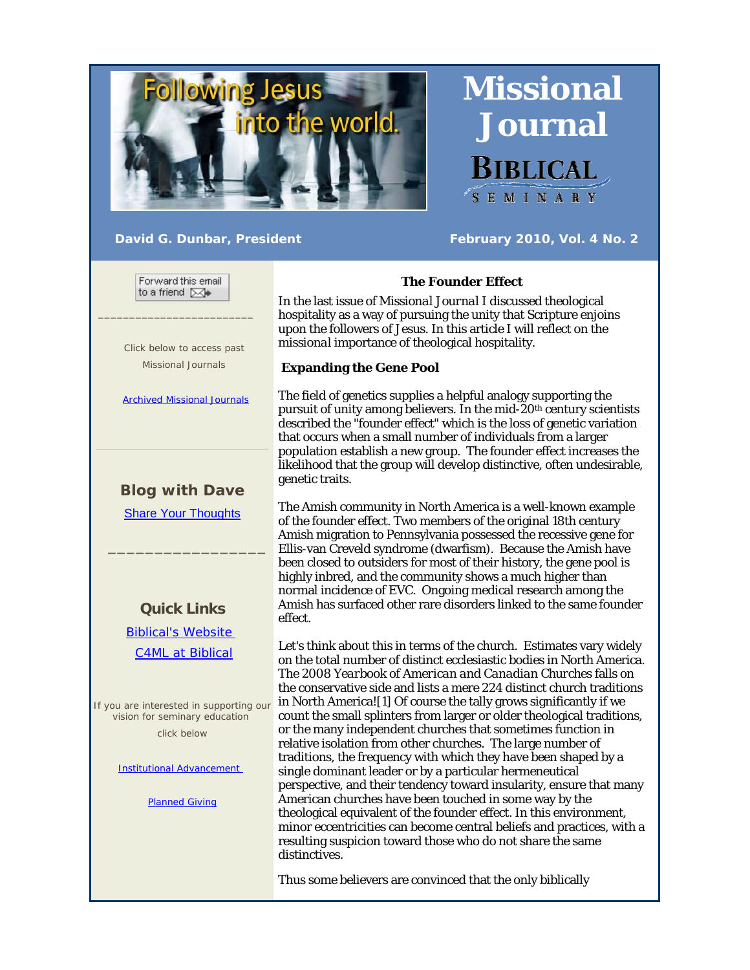

SEMINARY

 **Missional** 

 **Journal** 

**BIBLICAL** 

David G. Dunbar, President **February 2010, Vol. 4 No. 2** 

Forward this email to a friend [XX]

 $\frac{1}{2}$  ,  $\frac{1}{2}$  ,  $\frac{1}{2}$  ,  $\frac{1}{2}$  ,  $\frac{1}{2}$  ,  $\frac{1}{2}$  ,  $\frac{1}{2}$  ,  $\frac{1}{2}$  ,  $\frac{1}{2}$  ,  $\frac{1}{2}$  ,  $\frac{1}{2}$  ,  $\frac{1}{2}$  ,  $\frac{1}{2}$  ,  $\frac{1}{2}$  ,  $\frac{1}{2}$  ,  $\frac{1}{2}$  ,  $\frac{1}{2}$  ,  $\frac{1}{2}$  ,  $\frac{1$ 

 Click below to access past Missional Journals

Archived Missional Journals

# **Blog with Dave**

Share Your Thoughts

 $\overline{\phantom{a}}$  , and the set of the set of the set of the set of the set of the set of the set of the set of the set of the set of the set of the set of the set of the set of the set of the set of the set of the set of the s

## **Quick Links**

 Biblical's Website C4ML at Biblical

If you are interested in supporting our vision for seminary education click below

Institutional Advancement

Planned Giving

## **The Founder Effect**

In the last issue of *Missional Journal* I discussed theological hospitality as a way of pursuing the unity that Scripture enjoins upon the followers of Jesus. In this article I will reflect on the *missional* importance of theological hospitality.

#### **Expanding the Gene Pool**

The field of genetics supplies a helpful analogy supporting the pursuit of unity among believers. In the mid-20th century scientists described the "founder effect" which is the loss of genetic variation that occurs when a small number of individuals from a larger population establish a new group. The founder effect increases the likelihood that the group will develop distinctive, often undesirable, genetic traits.

The Amish community in North America is a well-known example of the founder effect. Two members of the original 18th century Amish migration to Pennsylvania possessed the recessive gene for Ellis-van Creveld syndrome (dwarfism). Because the Amish have been closed to outsiders for most of their history, the gene pool is highly inbred, and the community shows a much higher than normal incidence of EVC. Ongoing medical research among the Amish has surfaced other rare disorders linked to the same founder effect.

Let's think about this in terms of the church. Estimates vary widely on the total number of distinct ecclesiastic bodies in North America. The 2008 *Yearbook of American and Canadian Churches* falls on the conservative side and lists a mere 224 distinct church traditions in North America![1] Of course the tally grows significantly if we count the small splinters from larger or older theological traditions, or the many independent churches that sometimes function in relative isolation from other churches. The large number of traditions, the frequency with which they have been shaped by a single dominant leader or by a particular hermeneutical perspective, and their tendency toward insularity, ensure that many American churches have been touched in some way by the theological equivalent of the founder effect. In this environment, minor eccentricities can become central beliefs and practices, with a resulting suspicion toward those who do not share the same distinctives.

Thus some believers are convinced that the only biblically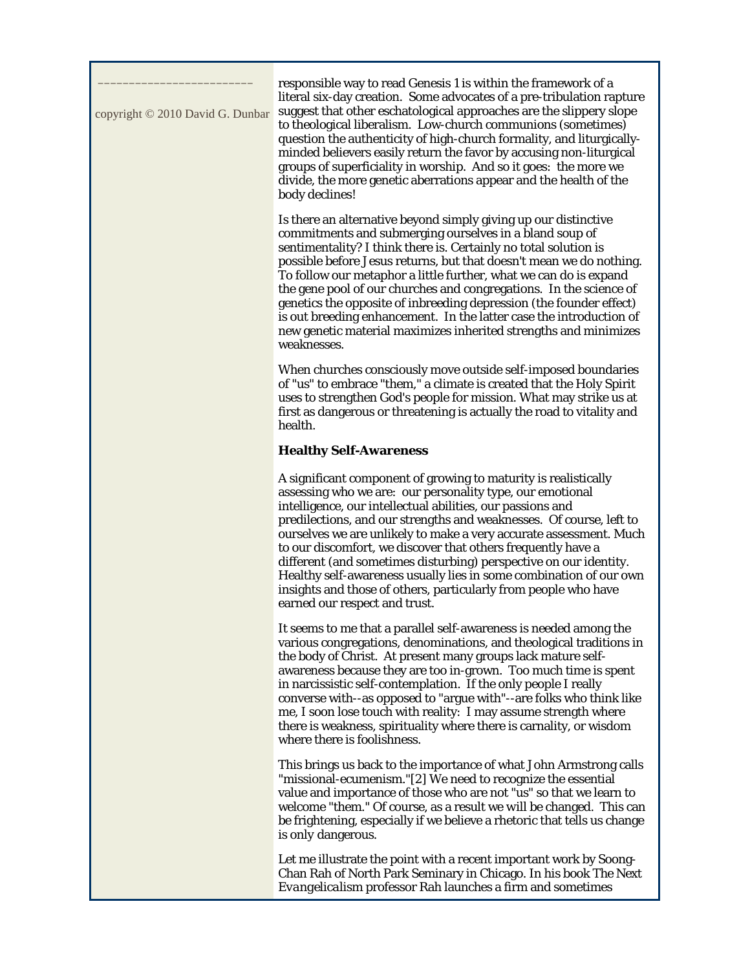| copyright © 2010 David G. Dunbar | responsible way to read Genesis 1 is within the framework of a<br>literal six-day creation. Some advocates of a pre-tribulation rapture<br>suggest that other eschatological approaches are the slippery slope<br>to theological liberalism. Low-church communions (sometimes)<br>question the authenticity of high-church formality, and liturgically-<br>minded believers easily return the favor by accusing non-liturgical<br>groups of superficiality in worship. And so it goes: the more we<br>divide, the more genetic aberrations appear and the health of the<br>body declines!                                                              |
|----------------------------------|--------------------------------------------------------------------------------------------------------------------------------------------------------------------------------------------------------------------------------------------------------------------------------------------------------------------------------------------------------------------------------------------------------------------------------------------------------------------------------------------------------------------------------------------------------------------------------------------------------------------------------------------------------|
|                                  | Is there an alternative beyond simply giving up our distinctive<br>commitments and submerging ourselves in a bland soup of<br>sentimentality? I think there is. Certainly no total solution is<br>possible before Jesus returns, but that doesn't mean we do nothing.<br>To follow our metaphor a little further, what we can do is expand<br>the gene pool of our churches and congregations. In the science of<br>genetics the opposite of inbreeding depression (the founder effect)<br>is out breeding enhancement. In the latter case the introduction of<br>new genetic material maximizes inherited strengths and minimizes<br>weaknesses.      |
|                                  | When churches consciously move outside self-imposed boundaries<br>of "us" to embrace "them," a climate is created that the Holy Spirit<br>uses to strengthen God's people for mission. What may strike us at<br>first as dangerous or threatening is actually the road to vitality and<br>health.                                                                                                                                                                                                                                                                                                                                                      |
|                                  | <b>Healthy Self-Awareness</b>                                                                                                                                                                                                                                                                                                                                                                                                                                                                                                                                                                                                                          |
|                                  | A significant component of growing to maturity is realistically<br>assessing who we are: our personality type, our emotional<br>intelligence, our intellectual abilities, our passions and<br>predilections, and our strengths and weaknesses. Of course, left to<br>ourselves we are unlikely to make a very accurate assessment. Much<br>to our discomfort, we discover that others frequently have a<br>different (and sometimes disturbing) perspective on our identity.<br>Healthy self-awareness usually lies in some combination of our own<br>insights and those of others, particularly from people who have<br>earned our respect and trust. |
|                                  | It seems to me that a parallel self-awareness is needed among the<br>various congregations, denominations, and theological traditions in<br>the body of Christ. At present many groups lack mature self-<br>awareness because they are too in-grown. Too much time is spent<br>in narcissistic self-contemplation. If the only people I really<br>converse with--as opposed to "argue with"--are folks who think like<br>me, I soon lose touch with reality: I may assume strength where<br>there is weakness, spirituality where there is carnality, or wisdom<br>where there is foolishness.                                                         |
|                                  | This brings us back to the importance of what John Armstrong calls<br>"missional-ecumenism."[2] We need to recognize the essential<br>value and importance of those who are not "us" so that we learn to<br>welcome "them." Of course, as a result we <i>will</i> be changed. This can<br>be frightening, especially if we believe a rhetoric that tells us change<br>is <i>only</i> dangerous.                                                                                                                                                                                                                                                        |
|                                  | Let me illustrate the point with a recent important work by Soong-                                                                                                                                                                                                                                                                                                                                                                                                                                                                                                                                                                                     |

Chan Rah of North Park Seminary in Chicago. In his book *The Next Evangelicalism* professor Rah launches a firm and sometimes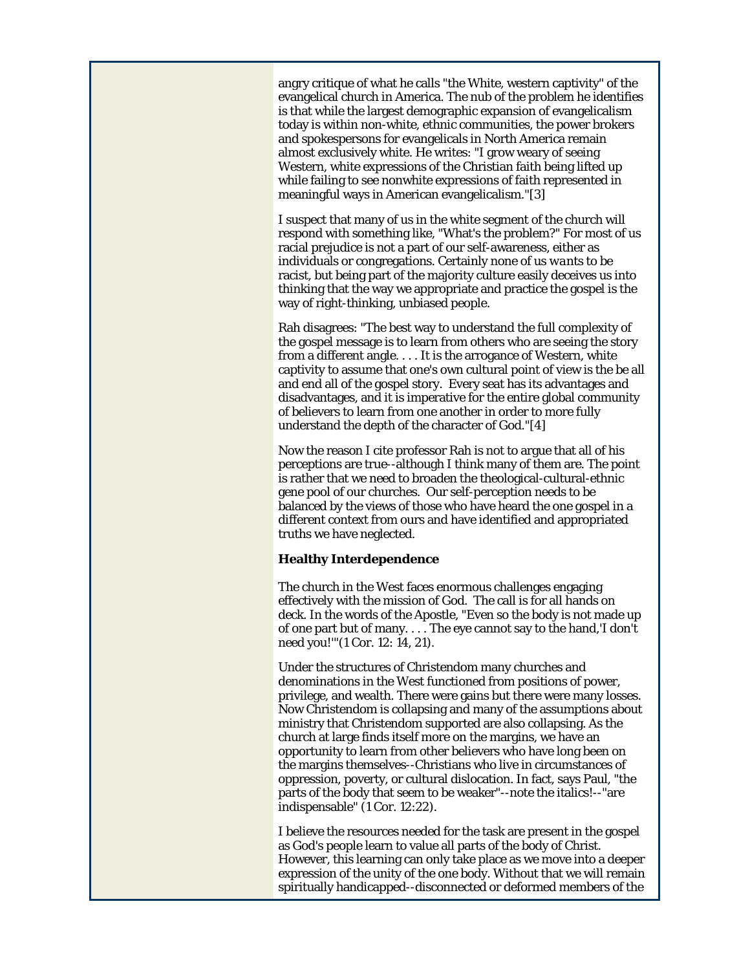angry critique of what he calls "the White, western captivity" of the evangelical church in America. The nub of the problem he identifies is that while the largest demographic expansion of evangelicalism today is within non-white, ethnic communities, the power brokers and spokespersons for evangelicals in North America remain almost exclusively white. He writes: "I grow weary of seeing Western, white expressions of the Christian faith being lifted up while failing to see nonwhite expressions of faith represented in meaningful ways in American evangelicalism."[3]

I suspect that many of us in the white segment of the church will respond with something like, "What's the problem?" For most of us racial prejudice is not a part of our self-awareness, either as individuals or congregations. Certainly none of us *wants* to be racist, but being part of the majority culture easily deceives us into thinking that the way we appropriate and practice the gospel is the way of right-thinking, unbiased people.

Rah disagrees: "The best way to understand the full complexity of the gospel message is to learn from others who are seeing the story from a different angle. . . . It is the arrogance of Western, white captivity to assume that one's own cultural point of view is the be all and end all of the gospel story. Every seat has its advantages and disadvantages, and it is imperative for the entire global community of believers to learn from one another in order to more fully understand the depth of the character of God."[4]

Now the reason I cite professor Rah is not to argue that all of his perceptions are true--although I think many of them are. The point is rather that we need to broaden the theological-cultural-ethnic gene pool of our churches. Our self-perception needs to be balanced by the views of those who have heard the one gospel in a different context from ours and have identified and appropriated truths we have neglected.

#### **Healthy Interdependence**

The church in the West faces enormous challenges engaging effectively with the mission of God. The call is for all hands on deck. In the words of the Apostle, "Even so the body is not made up of one part but of many. . . . The eye cannot say to the hand,'I don't need you!'"(1 Cor. 12: 14, 21).

Under the structures of Christendom many churches and denominations in the West functioned from positions of power, privilege, and wealth. There were gains but there were many losses. Now Christendom is collapsing and many of the assumptions about ministry that Christendom supported are also collapsing. As the church at large finds itself more on the margins, we have an opportunity to learn from other believers who have long been on the margins themselves--Christians who live in circumstances of oppression, poverty, or cultural dislocation. In fact, says Paul, "the parts of the body that *seem* to be weaker"--note the italics!--"are indispensable" (1 Cor. 12:22).

I believe the resources needed for the task are present in the gospel as God's people learn to value all parts of the body of Christ. However, this learning can only take place as we move into a deeper expression of the unity of the one body. Without that we will remain spiritually handicapped--disconnected or deformed members of the